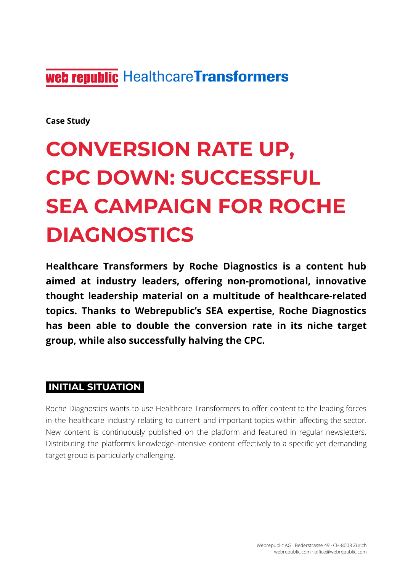web republic Healthcare Transformers

**Case Study**

# **CONVERSION RATE UP, CPC DOWN: SUCCESSFUL SEA CAMPAIGN FOR ROCHE DIAGNOSTICS**

**Healthcare Transformers by Roche Diagnostics is a content hub aimed at industry leaders, offering non-promotional, innovative thought leadership material on a multitude of healthcare-related topics. Thanks to Webrepublic's SEA expertise, Roche Diagnostics has been able to double the conversion rate in its niche target group, while also successfully halving the CPC.**

#### **INITIAL SITUATION.**

Roche Diagnostics wants to use Healthcare Transformers to offer content to the leading forces in the healthcare industry relating to current and important topics within affecting the sector. New content is continuously published on the platform and featured in regular newsletters. Distributing the platform's knowledge-intensive content effectively to a specific yet demanding target group is particularly challenging.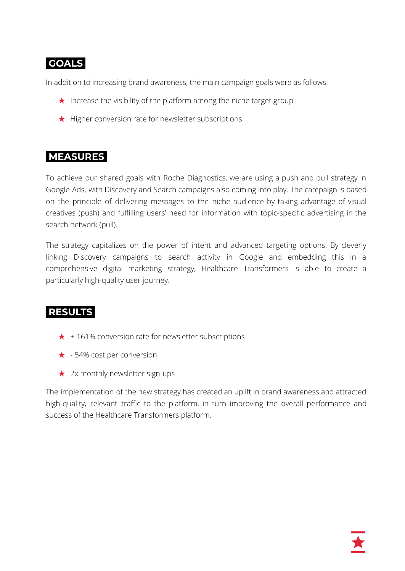## **GOALS.**

In addition to increasing brand awareness, the main campaign goals were as follows:

- $\star$  Increase the visibility of the platform among the niche target group
- ★ Higher conversion rate for newsletter subscriptions

## **MEASURES.**

To achieve our shared goals with Roche Diagnostics, we are using a push and pull strategy in Google Ads, with Discovery and Search campaigns also coming into play. The campaign is based on the principle of delivering messages to the niche audience by taking advantage of visual creatives (push) and fulfilling users' need for information with topic-specific advertising in the search network (pull).

The strategy capitalizes on the power of intent and advanced targeting options. By cleverly linking Discovery campaigns to search activity in Google and embedding this in a comprehensive digital marketing strategy, Healthcare Transformers is able to create a particularly high-quality user journey.

### **RESULTS.**

- $\star$  + 161% conversion rate for newsletter subscriptions
- ★ 54% cost per conversion
- $\star$  2x monthly newsletter sign-ups

The implementation of the new strategy has created an uplift in brand awareness and attracted high-quality, relevant traffic to the platform, in turn improving the overall performance and success of the Healthcare Transformers platform.